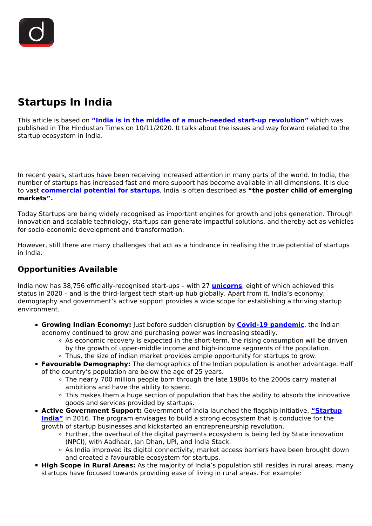# **Startups In India**

This article is based on **["India is in the middle of a much-needed start-up revolution"](https://www.hindustantimes.com/analysis/india-is-in-the-middle-of-a-much-needed-start-up-revolution/story-iJtS8APZFZgcHwPhOzNNLJ.html)** which was published in The Hindustan Times on 10/11/2020. It talks about the issues and way forward related to the startup ecosystem in India.

In recent years, startups have been receiving increased attention in many parts of the world. In India, the number of startups has increased fast and more support has become available in all dimensions. It is due to vast **[commercial potential for startups](/daily-updates/daily-news-analysis/policy-reforms-for-startups)**, India is often described as **"the poster child of emerging markets".**

Today Startups are being widely recognised as important engines for growth and jobs generation. Through innovation and scalable technology, startups can generate impactful solutions, and thereby act as vehicles for socio-economic development and transformation.

However, still there are many challenges that act as a hindrance in realising the true potential of startups in India.

#### **Opportunities Available**

India now has 38,756 officially-recognised start-ups – with 27 **[unicorns](/daily-updates/daily-news-analysis/policy-reforms-for-startups)**, eight of which achieved this status in 2020 – and is the third-largest tech start-up hub globally. Apart from it, India's economy, demography and government's active support provides a wide scope for establishing a thriving startup environment.

- **Growing Indian Economy:** Just before sudden disruption by **[Covid-19 pandemic](/daily-updates/daily-news-editorials/comprehensive-action-plan-for-covid-19)**, the Indian economy continued to grow and purchasing power was increasing steadily.
	- $\circ$  As economic recovery is expected in the short-term, the rising consumption will be driven by the growth of upper-middle income and high-income segments of the population.
	- Thus, the size of indian market provides ample opportunity for startups to grow.
- **Favourable Demography:** The demographics of the Indian population is another advantage. Half of the country's population are below the age of 25 years.
	- The nearly 700 million people born through the late 1980s to the 2000s carry material ambitions and have the ability to spend.
	- This makes them a huge section of population that has the ability to absorb the innovative goods and services provided by startups.
- **Active Government Support:** Government of India launched the flagship initiative, "**Startup [India"](/daily-updates/daily-news-analysis/the-start-up-india-fund)** in 2016. The program envisages to build a strong ecosystem that is conducive for the growth of startup businesses and kickstarted an entrepreneurship revolution.
	- Further, the overhaul of the digital payments ecosystem is being led by State innovation (NPCI), with Aadhaar, Jan Dhan, UPI, and India Stack.
	- As India improved its digital connectivity, market access barriers have been brought down and created a favourable ecosystem for startups.
- **High Scope in Rural Areas:** As the majority of India's population still resides in rural areas, many startups have focused towards providing ease of living in rural areas. For example: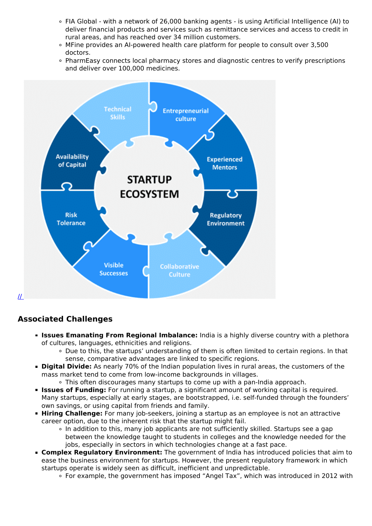- FIA Global with a network of 26,000 banking agents is using Artificial Intelligence (AI) to deliver financial products and services such as remittance services and access to credit in rural areas, and has reached over 34 million customers.
- MFine provides an AI-powered health care platform for people to consult over 3,500 doctors.
- PharmEasy connects local pharmacy stores and diagnostic centres to verify prescriptions and deliver over 100,000 medicines.



### **Associated Challenges**

- **Issues Emanating From Regional Imbalance:** India is a highly diverse country with a plethora of cultures, languages, ethnicities and religions.
	- Due to this, the startups' understanding of them is often limited to certain regions. In that sense, comparative advantages are linked to specific regions.
- **Digital Divide:** As nearly 70% of the Indian population lives in rural areas, the customers of the mass market tend to come from low-income backgrounds in villages.
	- This often discourages many startups to come up with a pan-India approach.
- **Issues of Funding:** For running a startup, a significant amount of working capital is required. Many startups, especially at early stages, are bootstrapped, i.e. self-funded through the founders' own savings, or using capital from friends and family.
- **Hiring Challenge:** For many job-seekers, joining a startup as an employee is not an attractive career option, due to the inherent risk that the startup might fail.
	- o In addition to this, many job applicants are not sufficiently skilled. Startups see a gap between the knowledge taught to students in colleges and the knowledge needed for the jobs, especially in sectors in which technologies change at a fast pace.
- **Complex Regulatory Environment:** The government of India has introduced policies that aim to ease the business environment for startups. However, the present regulatory framework in which startups operate is widely seen as difficult, inefficient and unpredictable.
	- For example, the government has imposed "Angel Tax", which was introduced in 2012 with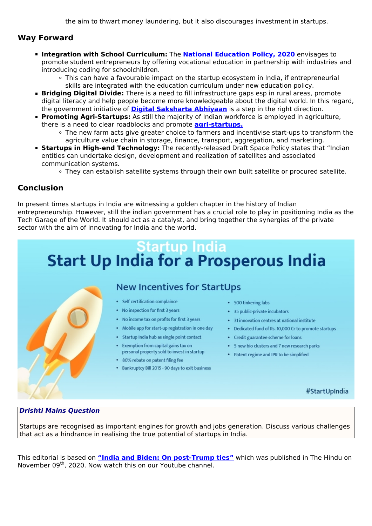the aim to thwart money laundering, but it also discourages investment in startups.

#### **Way Forward**

- **Integration with School Curriculum:** The **[National Education Policy, 2020](/daily-updates/daily-news-analysis/national-education-policy-2020)** envisages to promote student entrepreneurs by offering vocational education in partnership with industries and introducing coding for schoolchildren.
	- This can have a favourable impact on the startup ecosystem in India, if entrepreneurial skills are integrated with the education curriculum under new education policy.
- **Bridging Digital Divide:** There is a need to fill infrastructure gaps esp in rural areas, promote digital literacy and help people become more knowledgeable about the digital world. In this regard, the government initiative of **[Digital Saksharta Abhiyaan](/search/Pradhan%20Mantri%20Gramin%20Digital%20Saksharta%20Abhiyan)** is a step in the right direction.
- **Promoting Agri-Startups:** As still the majority of Indian workforce is employed in agriculture, there is a need to clear roadblocks and promote **[agri-startups.](/daily-updates/daily-news-analysis/agritech-startups)**
	- The new farm acts give greater choice to farmers and incentivise start-ups to transform the agriculture value chain in storage, finance, transport, aggregation, and marketing.
- **Startups in High-end Technology:** The recently-released Draft Space Policy states that "Indian entities can undertake design, development and realization of satellites and associated communication systems.
	- They can establish satellite systems through their own built satellite or procured satellite.

#### **Conclusion**

In present times startups in India are witnessing a golden chapter in the history of Indian entrepreneurship. However, still the indian government has a crucial role to play in positioning India as the Tech Garage of the World. It should act as a catalyst, and bring together the synergies of the private sector with the aim of innovating for India and the world.

# Startup India<br>Start Up India for a Prosperous India



## **New Incentives for StartUps**

- · Self certification complaince
- No inspection for first 3 years
- . No income tax on profits for first 3 years
- . Mobile app for start-up registration in one day
- Startup India hub as single point contact
- Exemption from capital gains tax on
- personal property sold to invest in startup
- \* 80% rebate on patent filing fee
- Bankruptcy Bill 2015 90 days to exit business
- 500 tinkering labs
- 35 public-private incubators
- 31 innovation centres at national institute
- Dedicated fund of Rs. 10,000 Cr to promote startups
- Credit guarantee scheme for loans
- 5 new bio clusters and 7 new research parks
- Patent regime and IPR to be simplified

#### #StartUpIndia

#### *Drishti Mains Question*

Startups are recognised as important engines for growth and jobs generation. Discuss various challenges that act as a hindrance in realising the true potential of startups in India.

This editorial is based on **["India and Biden: On post-Trump ties"](https://www.thehindu.com/opinion/editorial/india-and-biden-the-hindu-editorial-on-india-us-ties-after-donald-trump/article33053717.ece)** which was published in The Hindu on November 09<sup>th</sup>, 2020. Now watch this on our Youtube channel.